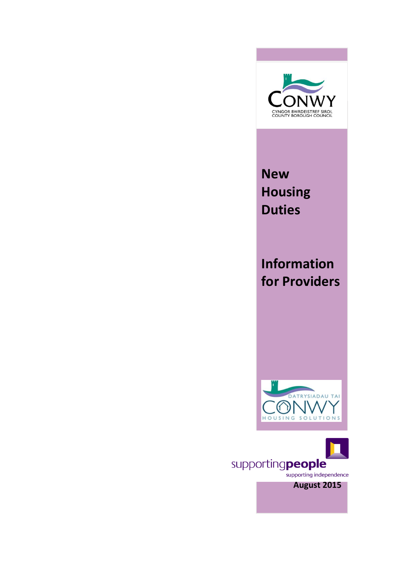

**New Housing Duties**

**Information for Providers**



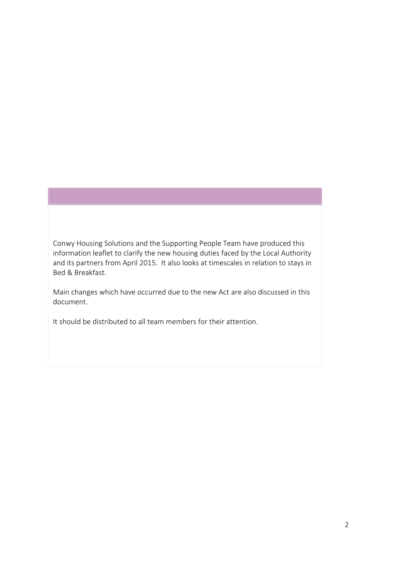Conwy Housing Solutions and the Supporting People Team have produced this information leaflet to clarify the new housing duties faced by the Local Authority and its partners from April 2015. It also looks at timescales in relation to stays in Bed & Breakfast.

Main changes which have occurred due to the new Act are also discussed in this document.

It should be distributed to all team members for their attention.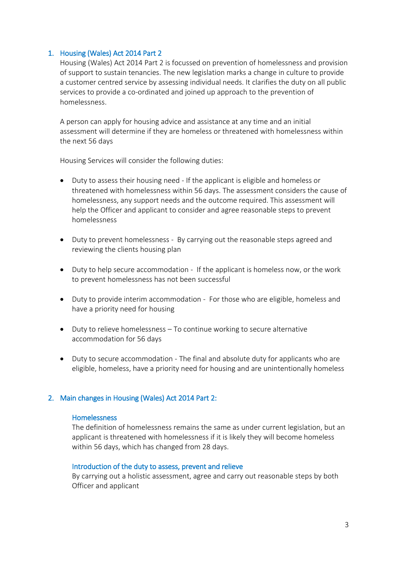## 1. Housing (Wales) Act 2014 Part 2

Housing (Wales) Act 2014 Part 2 is focussed on prevention of homelessness and provision of support to sustain tenancies. The new legislation marks a change in culture to provide a customer centred service by assessing individual needs. It clarifies the duty on all public services to provide a co-ordinated and joined up approach to the prevention of homelessness.

A person can apply for housing advice and assistance at any time and an initial assessment will determine if they are homeless or threatened with homelessness within the next 56 days

Housing Services will consider the following duties:

- Duty to assess their housing need If the applicant is eligible and homeless or threatened with homelessness within 56 days. The assessment considers the cause of homelessness, any support needs and the outcome required. This assessment will help the Officer and applicant to consider and agree reasonable steps to prevent homelessness
- Duty to prevent homelessness By carrying out the reasonable steps agreed and reviewing the clients housing plan
- Duty to help secure accommodation If the applicant is homeless now, or the work to prevent homelessness has not been successful
- Duty to provide interim accommodation For those who are eligible, homeless and have a priority need for housing
- Duty to relieve homelessness To continue working to secure alternative accommodation for 56 days
- Duty to secure accommodation The final and absolute duty for applicants who are eligible, homeless, have a priority need for housing and are unintentionally homeless

## 2. Main changes in Housing (Wales) Act 2014 Part 2:

#### **Homelessness**

The definition of homelessness remains the same as under current legislation, but an applicant is threatened with homelessness if it is likely they will become homeless within 56 days, which has changed from 28 days.

#### Introduction of the duty to assess, prevent and relieve

By carrying out a holistic assessment, agree and carry out reasonable steps by both Officer and applicant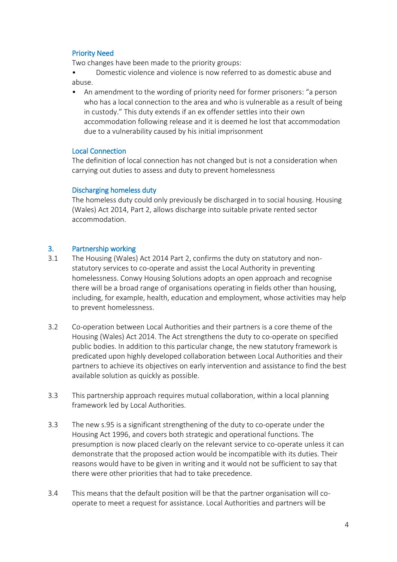# Priority Need

Two changes have been made to the priority groups:

• Domestic violence and violence is now referred to as domestic abuse and abuse.

• An amendment to the wording of priority need for former prisoners: "a person who has a local connection to the area and who is vulnerable as a result of being in custody." This duty extends if an ex offender settles into their own accommodation following release and it is deemed he lost that accommodation due to a vulnerability caused by his initial imprisonment

## Local Connection

The definition of local connection has not changed but is not a consideration when carrying out duties to assess and duty to prevent homelessness

## Discharging homeless duty

The homeless duty could only previously be discharged in to social housing. Housing (Wales) Act 2014, Part 2, allows discharge into suitable private rented sector accommodation.

## 3. Partnership working

- 3.1 The Housing (Wales) Act 2014 Part 2, confirms the duty on statutory and nonstatutory services to co-operate and assist the Local Authority in preventing homelessness. Conwy Housing Solutions adopts an open approach and recognise there will be a broad range of organisations operating in fields other than housing, including, for example, health, education and employment, whose activities may help to prevent homelessness.
- 3.2 Co-operation between Local Authorities and their partners is a core theme of the Housing (Wales) Act 2014. The Act strengthens the duty to co-operate on specified public bodies. In addition to this particular change, the new statutory framework is predicated upon highly developed collaboration between Local Authorities and their partners to achieve its objectives on early intervention and assistance to find the best available solution as quickly as possible.
- 3.3 This partnership approach requires mutual collaboration, within a local planning framework led by Local Authorities.
- 3.3 The new s.95 is a significant strengthening of the duty to co-operate under the Housing Act 1996, and covers both strategic and operational functions. The presumption is now placed clearly on the relevant service to co-operate unless it can demonstrate that the proposed action would be incompatible with its duties. Their reasons would have to be given in writing and it would not be sufficient to say that there were other priorities that had to take precedence.
- 3.4 This means that the default position will be that the partner organisation will cooperate to meet a request for assistance. Local Authorities and partners will be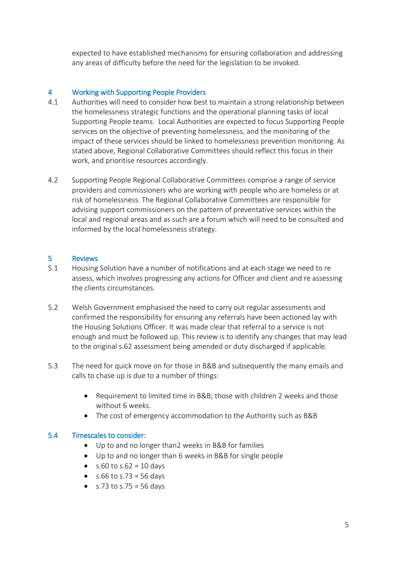expected to have established mechanisms for ensuring collaboration and addressing any areas of difficulty before the need for the legislation to be invoked.

## 4 Working with Supporting People Providers

- 4.1 Authorities will need to consider how best to maintain a strong relationship between the homelessness strategic functions and the operational planning tasks of local Supporting People teams. Local Authorities are expected to focus Supporting People services on the objective of preventing homelessness, and the monitoring of the impact of these services should be linked to homelessness prevention monitoring. As stated above, Regional Collaborative Committees should reflect this focus in their work, and prioritise resources accordingly.
- 4.2 Supporting People Regional Collaborative Committees comprise a range of service providers and commissioners who are working with people who are homeless or at risk of homelessness. The Regional Collaborative Committees are responsible for advising support commissioners on the pattern of preventative services within the local and regional areas and as such are a forum which will need to be consulted and informed by the local homelessness strategy.

## 5 Reviews

- 5.1 Housing Solution have a number of notifications and at each stage we need to re assess, which involves progressing any actions for Officer and client and re assessing the clients circumstances.
- 5.2 Welsh Government emphasised the need to carry out regular assessments and confirmed the responsibility for ensuring any referrals have been actioned lay with the Housing Solutions Officer. It was made clear that referral to a service is not enough and must be followed up. This review is to identify any changes that may lead to the original s.62 assessment being amended or duty discharged if applicable.
- 5.3 The need for quick move on for those in B&B and subsequently the many emails and calls to chase up is due to a number of things:
	- Requirement to limited time in B&B; those with children 2 weeks and those without 6 weeks.
	- The cost of emergency accommodation to the Authority such as B&B

## 5.4 Timescales to consider:

- Up to and no longer than2 weeks in B&B for families
- Up to and no longer than 6 weeks in B&B for single people
- $\bullet$  s.60 to s.62 = 10 days
- $\bullet$  s.66 to s.73 = 56 days
- $\bullet$  s.73 to s.75 = 56 days